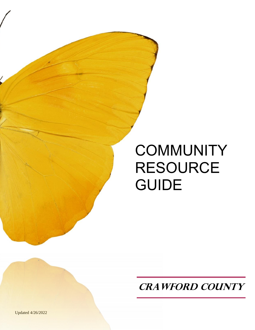# **COMMUNITY** RESOURCE GUIDE

**CRAWFORD COUNTY**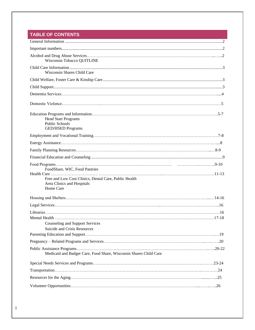# **TABLE OF CONTENTS**

| Wisconsin Tobacco QUITLINE                                                                                                        |
|-----------------------------------------------------------------------------------------------------------------------------------|
| <b>Wisconsin Shares Child Care</b>                                                                                                |
|                                                                                                                                   |
|                                                                                                                                   |
|                                                                                                                                   |
|                                                                                                                                   |
| <b>Head Start Programs</b><br><b>Public Schools</b><br><b>GED/HSED Programs</b>                                                   |
|                                                                                                                                   |
|                                                                                                                                   |
|                                                                                                                                   |
|                                                                                                                                   |
| FoodShare, WIC, Food Pantries<br>Free and Low Cost Clinics, Dental Care, Public Health<br>Area Clinics and Hospitals<br>Home Care |
|                                                                                                                                   |
|                                                                                                                                   |
| <b>Counseling and Support Services</b><br>Suicide and Crisis Resources                                                            |
|                                                                                                                                   |
|                                                                                                                                   |
| Medicaid and Badger Care, Food Share, Wisconsin Shares Child Care                                                                 |
|                                                                                                                                   |
|                                                                                                                                   |
|                                                                                                                                   |
|                                                                                                                                   |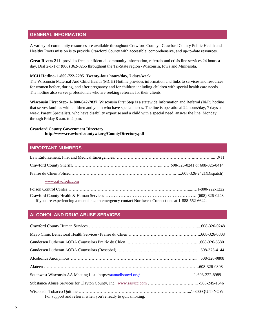## <span id="page-2-0"></span>**GENERAL INFORMATION**

A variety of community resources are available throughout Crawford County. Crawford County Public Health and Healthy Roots mission is to provide Crawford County with accessible, comprehensive, and up-to-date resources.

**Great Rivers 211-** provides free, confidential community information, referrals and crisis line services 24 hours a day. Dial 2-1-1 or (800) 362-8255 throughout the Tri-State region -Wisconsin, Iowa and Minnesota.

### **MCH Hotline- 1-800-722-2295 Twenty-four hours/day, 7 days/week**

The Wisconsin Maternal And Child Health (MCH) Hotline provides information and links to services and resources for women before, during, and after pregnancy and for children including children with special health care needs. The hotline also serves professionals who are seeking referrals for their clients.

**Wisconsin First Step- 1- 800-642-7837**. Wisconsin First Step is a statewide Information and Referral (I&R) hotline that serves families with children and youth who have special needs. The line is operational 24 hours/day, 7 days a week. Parent Specialists, who have disability expertise and a child with a special need, answer the line, Monday through Friday 8 a.m. to 4 p.m.

### <span id="page-2-1"></span>**Crawford County Government Directory http://www.crawfordcountywi.org/CountyDirectory.pdf**

### **IMPORTANT NUMBERS**

| www.cityofpdc.com     |                        |
|-----------------------|------------------------|
| Poison Control Center | $1 - 800 - 222 - 1222$ |

Crawford County Health & Human Services …………..…………………………….…….. (608) 326-0248 If you are experiencing a mental health emergency contact Northwest Connections at 1-888-552-6642.

### <span id="page-2-2"></span>**ALCOHOL AND DRUG ABUSE SERVICES**

| For support and referral when you're ready to quit smoking. |  |
|-------------------------------------------------------------|--|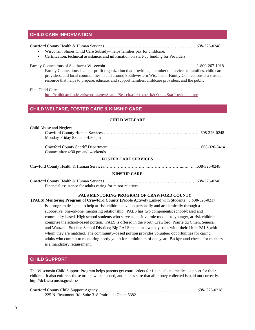# <span id="page-3-0"></span>**CHILD CARE INFORMATION**

Crawford County Health & Human Services………………………………………………….………608-326-0248

- Wisconsin Shares Child Care Subsidy– helps families pay for childcare.
- Certification, technical assistance, and information on start-up funding for Providers.

Family Connections of Southwest Wisconsin………………………………….……………………...1-800-267-1018 Family Connections is a non-profit organization that providing a number of services to families, child care providers, and local communities in and around Southwestern Wisconsin. Family Connections is a trusted resource that helps to prepare, educate, and support families, childcare providers, and the public.

#### <span id="page-3-1"></span>Find Child Care

<http://childcarefinder.wisconsin.gov/Search/Search.aspx?type=b&YoungStarProviders=true>

### **CHILD WELFARE, FOSTER CARE & KINSHIP CARE**

### **CHILD WELFARE**

| Child Abuse and Neglect            |  |  |
|------------------------------------|--|--|
|                                    |  |  |
| Monday-Friday 8:00am-4:30 pm       |  |  |
|                                    |  |  |
| Contact after 4:30 pm and weekends |  |  |
| <b>FOSTER CARE SERVICES</b>        |  |  |

Crawford County Health & Human Services…………………………..……………………..…..…...608-326-0248

### **KINSHIP CARE**

Crawford County Health & Human Services………………………………………………………….608-326-0248 Financial assistance for adults caring for minor relatives.

### **PALS MENTORING PROGRAM OF CRAWFORD COUNTY**

**(PALS) Mentoring Program of Crawford County (P**eople **A**ctively **L**inked with **S**tudents) …608-326-0217 is a program designed to help at-risk children develop personally and academically through a supportive, one-on-one, mentoring relationship. PALS has two components: school-based and community-based. High school students who serve as positive role models to younger, at-risk children comprise the school-based portion. PALS is offered in the North Crawford, Prairie du Chien, Seneca, and Wauzeka-Steuben School Districts; Big PALS meet on a weekly basis with their Little PALS with whom they are matched. The community–based portion provides volunteer opportunities for caring adults who commit to mentoring needy youth for a minimum of one year. Background checks for mentors is a mandatory requirement.

# <span id="page-3-2"></span>**CHILD SUPPORT**

The Wisconsin Child Support Program helps parents get court orders for financial and medical support for their children. It also enforces those orders when needed, and makes sure that all money collected is paid out correctly. http://dcf.wisconsin.gov/bcs/

| 225 N. Beaumont Rd. Suite 318 Prairie du Chien 53821 |  |
|------------------------------------------------------|--|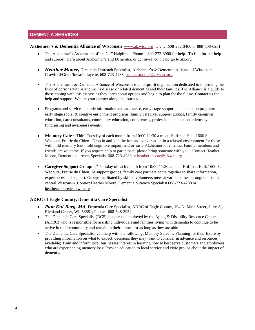# **DEMENTIA SERVICES**

### **Alzheimer's & Dementia Alliance of Wisconsin** [www.alzwisc.org](http://www.alzwisc.org/) ……….608-232-3400 or 888-308-6251

- The Alzheimer's Association offers 24/7 Helpline. Phone 1-800-272-3900 for help. To find further help and support, learn about Alzheimer's and Dementia, or get involved please go to alz.org
- *Heather Moore, Dementia Outreach Specialist, Alzheimer's & Dementia Alliance of Wisconsin,* Crawford/Grant/Iowa/Lafayette, 608-723-4288, [heather.moore@alzwisc.org;](mailto:heather.moore@alzwisc.org)
- The Alzheimer's & Dementia Alliance of Wisconsin is a nonprofit organization dedicated to improving the lives of persons with Alzheimer's disease or related dementias and their families. The Alliance is a guide to those coping with this disease as they learn about options and begin to plan for the future. Contact us for help and support. We are your partner along the journey.
- Programs and services include information and assistance, early stage support and education programs, early stage social & creative enrichment programs, family caregiver support groups, family caregiver education, care consultants, community education, conferences, professional education, advocacy, fundraising and awareness events.
- **Memory Cafe** ~ Third Tuesday of each month from 10:00-11:30 a.m. at Hoffman Hall, 1600 S. Wacouta, Prairie du Chien. Drop in and join the fun and conversation in a relaxed environment for those with mild memory loss, mild cognitive impairment or early Alzheimer's/dementia. Family members and friends are welcome. If you require help to participate, please bring someone with you. Contact Heather Moore, Dementia outreach Specialist 608-723-4288 or [heather.moore@alzwis.org](mailto:heather.moore@alzwis.org)
- **Caregiver Support Group:** 4<sup>th</sup> Tuesday of each month from 10:00-11:30 a.m. at Hoffman Hall, 1600 S. Wacouta, Prairie du Chien. At support groups, family care partners come together to share information, experiences and support. Groups facilitated by skilled volunteers meet at various times throughout south central Wisconsin. Contact Heather Moore, Dementia outreach Specialist 608-723-4288 or [heather.moore@alzwis.org](mailto:heather.moore@alzwis.org)

# **ADRC of Eagle County, Dementia Care Specialist**

- **Pam Kul-Berg, MA, Dementia Care Specialist, ADRC of Eagle County, 194 N. Main Street, Suite A,** Richland Center, WI 53581; Phone: 608-548-3954
- The Dementia Care Specialist (DCS) is a person employed by the Aging & Disability Resource Center (ADRC) who is responsible for assisting individuals and families living with dementia to continue to be active in their community and remain in their homes for as long as they are able.
- The Dementia Care Specialist can help with the following: Memory Screens; Planning for their future by providing information on what to expect, decisions they may want to consider in advance and resources available; Train and inform local businesses interest in learning how to best serve customers and employees who are experiencing memory loss; Provide education to local service and civic groups about the impact of dementia.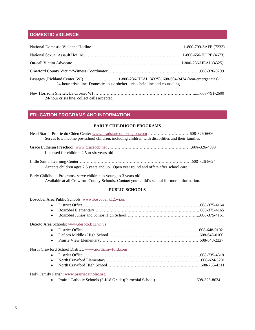# **DOMESTIC VIOLENCE**

| 24-hour crisis line. Domestic abuse shelter, crisis help line and counseling. |  |  |
|-------------------------------------------------------------------------------|--|--|
|                                                                               |  |  |

24-hour crisis line, collect calls accepted

# <span id="page-5-0"></span>**EDUCATION PROGRAMS AND INFORMATION**

### **EARLY CHILDHOOD PROGRAMS**

| Serves low income pre-school children, including children with disabilities and their families |  |
|------------------------------------------------------------------------------------------------|--|
| Licensed for children 2.5 to six years old                                                     |  |
|                                                                                                |  |

Little Saints Learning Center……………………………………………………………………….608-326-8624 Accepts children ages 2.5 years and up. Open year round and offers after school care.

Early Childhood Programs**-** serve children as young as 3 years old. Available at all Crawford County Schools. Contact your child's school for more information.

### **PUBLIC SCHOOLS**

Boscobel Area Public Schools[: www.boscobel.k12.wi.us](http://www.boscobel.k12.wi.us/)

|--|--|--|

DeSoto Area Schools: [www.desoto.k12.wi.us](http://www.desoto.k12.wi.us/)

North Crawford School District: [www.northcrawford.com](http://www.northcrawford.com/)

Holy Family Parish[: www.prairiecatholic.org](http://www.prairiecatholic.org/)

• Prairie Catholic Schools (3-K-8 Grade)(Parochial School)…………………………608-326-8624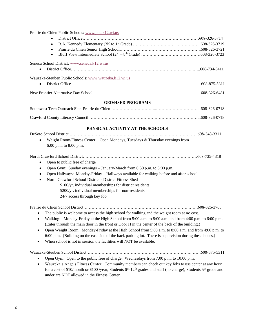Prairie du Chien Public Schools: [www.pdc.k12.wi.us](http://www.pdc.k12.wi.us/)

- District Office…………………………………………………………………………608-326-3714 • B.A. Kennedy Elementary (3K to 1st Grade) …………………………...……………..608-326-3719 • Prairie du Chien Senior High School…………………………………………………..608-326-3721
- Bluff View Intermediate School  $(2<sup>nd</sup> 8<sup>th</sup> Grade)$  ……………………………………………………………608-326-3723

### Seneca School District: [www.seneca.k12.wi.us](http://www.seneca.k12.wi.us/)

• District Office………………………………………………………………………….….…..608-734-3411

Wauzeka-Steuben Public Schools: [www.wauzeka.k12.wi.us](http://www.wauzeka.k12.wi.us/)

- District Office………………………………………………………………………………….608-875-5311
- New Frontier Alternative Day School……………………………………………………………………608-326-6481

### **GED/HSED PROGRAMS**

### **PHYSICAL ACTIVITY AT THE SCHOOLS**

| • Weight Room/Fitness Center - Open Mondays, Tuesdays & Thursday evenings from |  |
|--------------------------------------------------------------------------------|--|

6:00 p.m. to 8:00 p.m.

North Crawford School District…………………………………………………………..……………608-735-4318

- Open to public free of charge
- Open Gym: Sunday evenings January-March from 6:30 p.m. to 8:00 p.m.
- Open Hallways: Monday-Friday Hallways available for walking before and after school.
- North Crawford School District District Fitness Shed
	- \$100/yr. individual memberships for district residents
	- \$200/yr. individual memberships for non-residents
		- 24/7 access through key fob

Prairie du Chien School District………………………………………………………………….…….608-326-3700

- The public is welcome to access the high school for walking and the weight room at no cost.
- Walking: Monday-Friday at the High School from 5:00 a.m. to 8:00 a.m. and from 4:00 p.m. to 6:00 p.m. (Enter through the main door in the front or Door H in the center of the back of the building.)
- Open Weight Room: Monday-Friday at the High School from 5:00 a.m. to 8:00 a.m. and from 4:00 p.m. to 6:00 p.m. (Building on the east side of the back parking lot. There is supervision during these hours.)
- When school is not in session the facilities will NOT be available.

Wauzeka-Steuben School District………………………………………………………………….…….608-875-5311

- Open Gym: Open to the public free of charge. Wednesdays from 7:00 p.m. to 10:00 p.m.
- Wauzeka's Angels Fitness Center: Community members can check out key fobs to use center at any hour for a cost of \$10/month or \$100 /year; Students  $6<sup>th</sup>$ -12<sup>th</sup> grades and staff (no charge); Students  $5<sup>th</sup>$  grade and under are NOT allowed in the Fitness Center.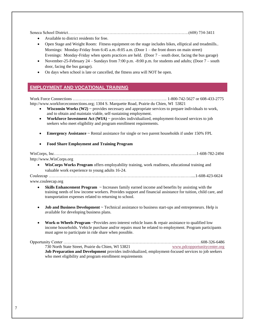Seneca School District……………………………………………………………………………(608) 734-3411

- Available to district residents for free.
- Open Stage and Weight Room: Fitness equipment on the stage includes bikes, elliptical and treadmills.. Mornings: Monday-Friday from 6:45 a.m.-8:05 a.m. (Door 1 – the front doors on main street) Evenings: Monday-Friday when sports practices are held. (Door 7 – south door, facing the bus garage)
- November-25-February 24 Sundays from 7:00 p.m. -8:00 p.m. for students and adults; (Door 7 south door, facing the bus garage).
- On days when school is late or cancelled, the fitness area will NOT be open.

# **EMPLOYMENT AND VOCATIONAL TRAINING**

Work Force Connections ………………………………………………………….. 1-800-742-5627 or 608-433-2775 http://www.workforceconnections.org; 1304 S. Marquette Road, Prairie du Chien, WI 53821

- **Wisconsin Works (W2)**  $\sim$  provides necessary and appropriate services to prepare individuals to work, and to obtain and maintain viable, self-sustaining employment.
- **Workforce Investment Act (WIA)** ~ provides individualized, employment-focused services to job seekers who meet eligibility and program enrollment requirements.
- **Emergency Assistance**  $\sim$  Rental assistance for single or two parent households if under 150% FPL

### • **Food Share Employment and Training Program**

WisCorps, Inc………………………………………………………………………………………….1-608-782-2494 http://www.WisCorps.org

• **WisCorps Works Program** offers employability training, work readiness, educational training and valuable work experience to young adults 16-24.

Couleecap …………………………………………………………………………………….……....1-608-423-6624

www.couleecap.org

- **Skills Enhancement Program** ~ Increases family earned income and benefits by assisting with the training needs of low income workers. Provides support and financial assistance for tuition, child care, and transportation expenses related to returning to school.
- **Job and Business Development**  $\sim$  Technical assistance to business start-ups and entrepreneurs. Help is available for developing business plans.
- **Work-n-Wheels Program** ~Provides zero interest vehicle loans & repair assistance to qualified low income households. Vehicle purchase and/or repairs must be related to employment. Program participants must agree to participate in ride share when possible.

[Opportunity Center ………………………………………………………………………………………608-326-6486](http://www.pdcopportunitycenter.org/) [730 North State Street, Prairie du Chien, WI](http://www.pdcopportunitycenter.org/) 53821 [www.pdcopportunitycenter.org](http://www.pdcopportunitycenter.org/) **Job Preparation and Development** provides individualized, employment-focused services to job seekers who meet eligibility and program enrollment requirements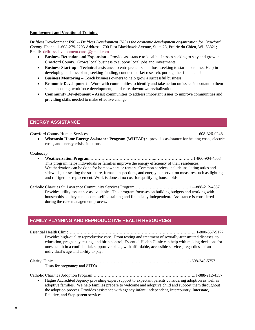### **Employment and Vocational Training**

Driftless Development INC -- *Driftless Development INC is the economic development organization for Crawford County.* Phone: 1-608-279-2293 Address: 700 East Blackhawk Avenue, Suite 28, Prairie du Chien, WI 53821; Email: [driftlessdevelopment.carol@gmail.com](mailto:driftlessdevelopment.carol@gmail.com)

- **Business Retention and Expansion –** Provide assistance to local businesses seeking to stay and grow in Crawford County. Grows local business to support local jobs and investments.
- **Business Start-up –** Technical assistance to entrepreneurs and those seeking to start a business. Help in developing business plans, seeking funding, conduct market research, put together financial data.
- **Business Mentoring –** Coach business owners to help grow a successful business
- **Economic Development** Work with communities to identify and take action on issues important to them such a housing, workforce development, child care, downtown revitalization.
- **Community Development –** Assist communities to address important issues to improve communities and providing skills needed to make effective change.

## <span id="page-8-0"></span>**ENERGY ASSISTANCE**

Crawford County Human Services ……………………………………………………………………..608-326-0248

**Wisconsin Home Energy Assistance Program (WHEAP)** ~ provides assistance for heating costs, electric costs, and energy crisis situations.

#### Couleecap

• **Weatherization Program** ………………………………………..……………….………1-866-904-4508 This program helps individuals or families improve the energy efficiency of their residences. Weatherization can be done for homeowners or renters. Common services include insulating attics and sidewalls, air-sealing the structure, furnace inspections, and energy conservation measures such as lighting and refrigerator replacement. Work is done at no cost for qualifying households.

Catholic Charities St. Lawrence Community Services Program……………………….…………1—888-212-4357 Provides utility assistance as available. This program focusses on building budgets and working with households so they can become self-sustaining and financially independent. Assistance is considered during the case management process.

### <span id="page-8-1"></span>**FAMILY PLANNING AND REPRODUCTIVE HEALTH RESOURCES**

| Provides high-quality reproductive care. From testing and treatment of sexually-transmitted diseases, to<br>education, pregnancy testing, and birth control, Essential Health Clinic can help with making decisions for<br>ones health in a confidential, supportive place, with affordable, accessible services, regardless of an<br>individual's age and ability to pay. |  |
|----------------------------------------------------------------------------------------------------------------------------------------------------------------------------------------------------------------------------------------------------------------------------------------------------------------------------------------------------------------------------|--|
| Tests for pregnancy and STD's.                                                                                                                                                                                                                                                                                                                                             |  |
| Hague Accredited Agency providing expert support to expectant parents considering adoption as well as<br>$\bullet$<br>adoptive families. We help families prepare to welcome and adoptive child and support them throughout<br>the adoption process. Provides assistance with agency infant, independent, Intercountry, Interstate,<br>Relative, and Step-parent services. |  |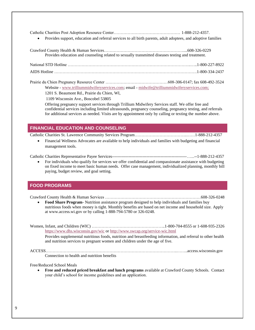Catholic Charities Post Adoption Resource Center………………………………………… 1-888-212-4357.

• Provides support, education and referral services to all birth parents, adult adoptees, and adoptive families

Crawford County Health & Human Services…………………………………………………....608-326-0229 Provides education and counseling related to sexually transmitted diseases testing and treatment. National STD Hotline ……………………………………………………………………………..…..1-800-227-8922

AIDS Hotline ………………………………………………………………………………………….1-800-334-2437

Prairie du Chien Pregnancy Resource Center ………………………………………608-306-0147; fax 608-492-3524 Website - [www.trilliummidwiferyservices.com;](http://www.trilliummidwiferyservices.com/) email - [midwife@trilliummidwiferyservices.com;](mailto:midwife@trilliummidwiferyservices.com)

1201 S. Beaumont Rd., Prairie du Chien, WI,

1109 Wisconsin Ave., Boscobel 53805

Offering pregnancy support services through Trillium Midwifery Services staff. We offer free and confidential services including limited ultrasounds, pregnancy counseling, pregnancy testing, and referrals for additional services as needed. Visits are by appointment only by calling or texting the number above.

# <span id="page-9-0"></span>**FINANCIAL EDUCATION AND COUNSELING**

Catholic Charities St. Lawrence Community Services Program………………………………..……1-888-212-4357

• Financial Wellness Advocates are available to help individuals and families with budgeting and financial management tools.

Catholic Charities Representative Payee Services------------------------------------------------------…...--1-888-212-4357

• For individuals who qualify for services we offer confidential and compassionate assistance with budgeting on fixed income to meet basic human needs. Offer case management, individualized planning, monthly bill paying, budget review, and goal setting.

# <span id="page-9-1"></span>**FOOD PROGRAMS**

Crawford County Health & Human Services ……………………………………………………………608-326-0248

- **Food Share Program** Nutrition assistance program designed to help individuals and families buy nutritious foods when money is tight. Monthly benefits are based on net income and household size. Apply at www.access.wi.gov or by calling 1-888-794-5780 or 326-0248.
- Women, Infant, and Children (WIC) ……………………………………………..1-800-704-8555 or 1-608-935-2326 <https://www.dhs.wisconsin.gov/wic> or<http://www.swcap.org/service-wic.html>

Provides supplemental nutritious foods, nutrition and breastfeeding information, and referral to other health and nutrition services to pregnant women and children under the age of five.

ACCESS…………………………………………………………………………………..……..access.wisconsin.gov Connection to health and nutrition benefits

Free/Reduced School Meals

• **Free and reduced priced breakfast and lunch programs** available at Crawford County Schools. Contact your child's school for income guidelines and an application.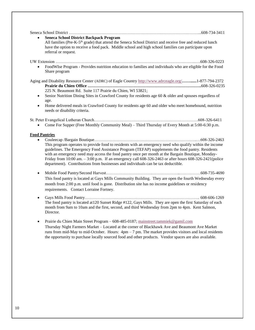| $\bullet$ | <b>Seneca School District Backpack Program</b><br>All families (Pre-K-5 <sup>th</sup> grade) that attend the Seneca School District and receive free and reduced lunch<br>have the option to receive a food pack. Middle school and high school families can participate upon<br>referral or request.                                                                                                                                                                                                            |  |
|-----------|------------------------------------------------------------------------------------------------------------------------------------------------------------------------------------------------------------------------------------------------------------------------------------------------------------------------------------------------------------------------------------------------------------------------------------------------------------------------------------------------------------------|--|
|           |                                                                                                                                                                                                                                                                                                                                                                                                                                                                                                                  |  |
|           | FoodWIse Program - Provides nutrition education to families and individuals who are eligible for the Food<br>Share program                                                                                                                                                                                                                                                                                                                                                                                       |  |
|           | Aging and Disability Resource Center (ADRC) of Eagle Country http://www.adrceagle.org/1-877-794-2372<br>225 N. Beaumont Rd. Suite 117 Prairie du Chien, WI 53821;                                                                                                                                                                                                                                                                                                                                                |  |
| $\bullet$ | Senior Nutrition Dining Sites in Crawford County for residents age 60 & older and spouses regardless of<br>age.                                                                                                                                                                                                                                                                                                                                                                                                  |  |
| $\bullet$ | Home delivered meals in Crawford County for residents age 60 and older who meet homebound, nutrition<br>needs or disability criteria.                                                                                                                                                                                                                                                                                                                                                                            |  |
|           | Come For Supper (Free Monthly Community Meal) – Third Thursday of Every Month at 5:00-6:30 p.m.                                                                                                                                                                                                                                                                                                                                                                                                                  |  |
|           | <b>Food Pantries</b>                                                                                                                                                                                                                                                                                                                                                                                                                                                                                             |  |
| $\bullet$ | This program operates to provide food to residents with an emergency need who qualify within the income<br>guidelines. The Emergency Food Assistance Program (TEFAP) supplements the food pantry. Residents<br>with an emergency need may access the food pantry once per month at the Bargain Boutique, Monday-<br>Friday from 10:00 am. $-3:00$ p.m. If an emergency call 608-326-2463 or after hours 608-326-2421(police<br>department). Contributions from businesses and individuals can be tax deductible. |  |
| $\bullet$ | This food pantry is located at Gays Mills Community Building. They are open the fourth Wednesday every<br>month from 2:00 p.m. until food is gone. Distribution site has no income guidelines or residency<br>requirements. Contact Lorraine Fortney.                                                                                                                                                                                                                                                            |  |
| $\bullet$ | The food pantry is located at 120 Sunset Ridge #122, Gays Mills. They are open the first Saturday of each<br>month from 9am to 10am and the first, second, and third Wednesday from 2pm to 4pm. Kent Salmon,<br>Director.                                                                                                                                                                                                                                                                                        |  |

• Prairie du Chien Main Street Program - 608-485-0187; [mainstreet.tammiek@gamil.com](mailto:mainstreet.tammiek@gamil.com) Thursday Night Farmers Market – Located at the corner of Blackhawk Ave and Beaumont Ave Market runs from mid-May to mid-October. Hours: 4pm – 7 pm. The market provides visitors and local residents the opportunity to purchase locally sourced food and other products. Vendor spaces are also available.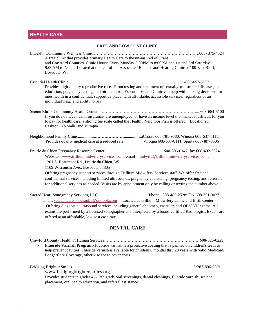# <span id="page-11-0"></span>**HEALTH CARE**

# **FREE AND LOW COST CLINIC** InHealth Community Wellness Clinic ………………………………………………………………….608- 375-4324 A free clinic that provides primary Health Care to the un-insured of Grant and Crawford Counties. Clinic Hours: Every Monday 5:00PM to 8:00PM and 1st and 3rd Saturday 9:00AM to Noon. Located at the rear of the Associated Balance and Hearing Clinic at 109 East Bluff, Boscobel, WI Essential Health Clinic……………………………………………………………………….1-800-657-5177 Provides high-quality reproductive care. From testing and treatment of sexually-transmitted diseases, to education, pregnancy testing, and birth control, Essential Health Clinic can help with making decisions for ones health in a confidential, supportive place, with affordable, accessible services, regardless of an individual's age and ability to pay. Scenic Bluffs Community Health Centers ……………………………………………………………....608-654-5100 If you do not have health insurance, are unemployed, or have an income level that makes it difficult for you to pay for health care, a sliding fee scale called the Healthy Neighbor Plan is offered. Locations in Cashton, Norwalk, and Viroqua

Neighborhood Family Clinic**................…………………..............**LaCrosse 608-781-9880, Winona 608-637-8111 Provides quality medical care at a reduced rate. Viroqua 608-637-8111, Sparta 608-487-8506

Prairie du Chien Pregnancy Resource Center…………………………………… 608-306-0147; fax 608-492-3524 Website - [www.trilliummidwiferyservices.com;](http://www.trilliummidwiferyservices.com/) email - [midwife@trilliummidwiferyservices.com;](mailto:midwife@trilliummidwiferyservices.com) 1201 S. Beaumont Rd., Prairie du Chien, WI,

1109 Wisconsin Ave., Boscobel 53805

Offering pregnancy support services through Trillium Midwifery Services staff. We offer free and confidential services including limited ultrasounds, pregnancy counseling, pregnancy testing, and referrals for additional services as needed. Visits are by appointment only by calling or texting the number above.

Sacred Heart Sonography Services, LLC…………………………….…Phone: 608-485-2528; Fax 608-391-3027 email[: sacredheartsonography@outlook.com](mailto:sacredheartsonography@outlook.com) Located at Trillium Midwifery Clinic and Birth Center Offering diagnostic ultrasound services including general abdomen, vascular, and OB/GYN exams. All exams are performed by a licensed sonographer and interpreted by a board-certified Radiologist. Exams are offered at an affordable, low cost cash rate.

# **DENTAL CARE**

Crawford County Health & Human Services……………………………………………………………608-326-0229 • **Fluoride Varnish Program**- Fluoride varnish is a protective coating that is painted on children's teeth to help prevent cavities. Fluoride varnish is available for children 6 months thru 20 years with valid Medicaid/ BadgerCare Coverage, otherwise fee to cover costs.

Bridging Brighter Smiles…………………………………………………………………………….1/262-896-9891 [www.bridgingbrightersmiles.org](http://www.bridgingbrightersmiles.org/) Provides students in grades 4k-12th grade oral screenings, dental cleanings, fluoride varnish, sealant placement, oral health education, and referral assistance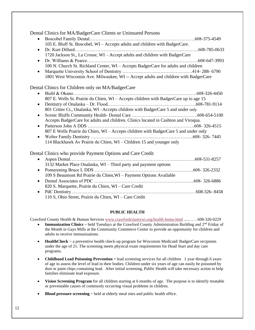| Dental Clinics for MA/BadgerCare Clients or Uninsured Persons                         |
|---------------------------------------------------------------------------------------|
| $\bullet$                                                                             |
| 105 E. Bluff St. Boscobel, WI - Accepts adults and children with BadgerCare.          |
| $\bullet$                                                                             |
| 1720 Jackson St., La Crosse, WI - Accept adults and children with BadgerCare          |
| $\bullet$                                                                             |
| 100 N. Church St. Richland Center, WI - Accepts BadgerCare for adults and children    |
| $\bullet$                                                                             |
| 1801 West Wisconsin Ave. Milwaukee, WI -- Accept adults and children with BadgerCare  |
|                                                                                       |
| Dental Clinics for Children only on MA/BadgerCare                                     |
| $\bullet$                                                                             |
| 807 E. Wells St. Prairie du Chien, WI - Accepts children with BadgerCare up to age 15 |
| $\bullet$                                                                             |
| 801 Critter Ct., Onalaska, WI - Accepts children with BadgerCare 5 and under only     |
| $\bullet$                                                                             |
| Accepts BadgerCare for adults and children. Clinics located in Cashton and Viroqua.   |
| $\bullet$                                                                             |
| 807 E Wells Prairie du Chien, WI - Accepts children with BadgerCare 5 and under only  |
| $\bullet$                                                                             |
| 114 Blackhawk Av Prairie du Chien, WI - Children 15 and younger only                  |
|                                                                                       |
| Dental Clinics who provide Payment Options and Care Credit                            |
|                                                                                       |
| $\bullet$<br>3132 Market Place Onalaska, WI - Third party and payment options         |
|                                                                                       |
| $\bullet$<br>109 S Beaumont Rd Prairie du Chien, WI - Payment Options Available       |
|                                                                                       |
|                                                                                       |
| 820 S. Marquette, Prairie du Chien, WI - Care Credit                                  |
| $\bullet$                                                                             |
| 110 S, Ohio Street, Prairie du Chien, WI - Care Credit                                |
|                                                                                       |

### **PUBLIC HEALTH**

Crawford County Health & Human Services [www.crawfordcountywi.org/health-home.html](http://www.crawfordcountywi.org/health-home.html) .....……608-326-0229

- **Immunization Clinics**  $\sim$  held Tuesdays at the Crawford County Administration Building and  $2<sup>nd</sup>$  Friday of the Month in Gays Mills at the Community Commerce Center to provide an opportunity for children and adults to receive immunizations.
- **HealthCheck** ~ a preventive health check-up program for Wisconsin Medicaid/BadgerCare recipients under the age of 21. The screening meets physical exam requirements for Head Start and day care programs.
- **Childhood Lead Poisoning Prevention ~** lead screening services for all children 1 year through 6 years of age to assess the level of lead in their bodies. Children under six years of age can easily be poisoned by dust or paint chips containing lead. After initial screening, Public Health will take necessary action to help families eliminate lead exposure.
- **Vision Screening Program** for all children starting at 6 months of age. The purpose is to identify treatable or preventable causes of commonly occurring visual problems in children.
- **Blood pressure screening** ~ held at elderly meal sites and public health office.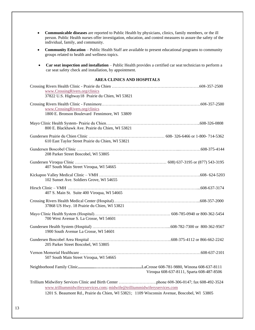- **Communicable diseases** are reported to Public Health by physicians, clinics, family members, or the ill person. Public Health nurses offer investigation, education, and control measures to assure the safety of the individual, family, and community.
- **Community Education** Public Health Staff are available to present educational programs to community groups related to health and wellness topics.
- **Car seat inspection and installation** Public Health provides a certified car seat technician to perform a car seat safety check and installation, by appointment.

### **AREA CLINICS AND HOSPITALS**

| www.CrossingRivers.org/clinics<br>37822 U.S. Highway18 Prairie du Chien, WI 53821                                                                                       |  |
|-------------------------------------------------------------------------------------------------------------------------------------------------------------------------|--|
| www.CrossingRivers.org/clinics<br>1800 E. Bronson Boulevard Fennimore, WI 53809                                                                                         |  |
| 800 E. Blackhawk Ave. Prairie du Chien, WI 53821                                                                                                                        |  |
| 610 East Taylor Street Prairie du Chien, WI 53821                                                                                                                       |  |
| 208 Parker Street Boscobel, WI 53805                                                                                                                                    |  |
| 407 South Main Street Viroqua, WI 54665                                                                                                                                 |  |
| 102 Sunset Ave. Soldiers Grove, WI 54655                                                                                                                                |  |
| 407 S. Main St. Suite 400 Viroqua, WI 54665                                                                                                                             |  |
| 37868 US Hwy. 18 Prairie du Chien, WI 53821                                                                                                                             |  |
| 700 West Avenue S. La Crosse, WI 54601                                                                                                                                  |  |
| 1900 South Avenue La Crosse, WI 54601                                                                                                                                   |  |
| 205 Parker Street Boscobel, WI 53805                                                                                                                                    |  |
| 507 South Main Street Viroqua, WI 54665                                                                                                                                 |  |
| Viroqua 608-637-8111, Sparta 608-487-8506                                                                                                                               |  |
| www.trilliummidwiferyservices.com; midwife@trilliummidwiferyservices.com<br>1201 S. Beaumont Rd., Prairie du Chien, WI 53821; 1109 Wisconsin Avenue, Boscobel, WI 53805 |  |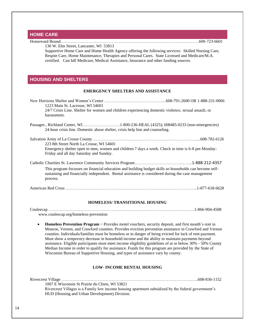# **HOME CARE**

# <span id="page-14-0"></span>Homeward Bound……………………………………………………………………………………….608-723-6601 130 W. Elm Street, Lancaster, WI 53813 Supportive Home Care and Home Health Agency offering the following services: Skilled Nursing Care, Respite Care, Home Maintenance, Therapies and Personal Cares. State Licensed and Medicare/M.A. certified. Can bill Medicare, Medical Assistance, Insurance and other funding sources. **HOUSING AND SHELTERS EMERGENCY SHELTERS AND ASSISTANCE** New Horizons Shelter and Women's Center ……………………………………...608-791-2600 OR 1-888-231-0066 1223 Main St. Lacrosse, WI 54601 24/7 Crisis Line. Shelter for women and children experiencing domestic violence, sexual assault, or harassment. Passages , Richland Center, WI………………………1-800-236-HEAL (4325); 608485-0233 (non-emergencies) 24-hour crisis line. Domestic abuse shelter, crisis help line and counseling. Salvation Army of La Crosse County …………………………………………………………………...608-782-6126 223 8th Street North La Crosse, WI 54601 Emergency shelter open to men, women and children 7 days a week. Check in time is 6-8 pm Monday-Friday and all day Saturday and Sunday. Catholic Charities St. Lawrence Community Services Program…………………………….……..1-888-212-4357 This program focusses on financial education and building budget skills so households can become selfsustaining and financially independent. Rental assistance is considered during the case management process. American Red Cross …………………………………………………………………………………..1-877-618-6628

### **HOMELESS/ TRANSITIONAL HOUSING**

Couleecap ……………………………………………………………………………………………1-866-904-4508 www.couleecap.org/homeless-prevention

**Homeless Prevention Program** ~ Provides motel vouchers, security deposit, and first month's rent in Monroe, Vernon, and Crawford counties. Provides eviction prevention assistance in Crawford and Vernon counties. Individuals/families must be homeless or in danger of being evicted for lack of rent payment. Must show a *temporary* decrease in household income and the ability to maintain payments beyond assistance. Eligible participants must meet income eligibility guidelines of at or below 30% - 50% County Median Income in order to qualify for assistance. Funds for this program are provided by the State of Wisconsin Bureau of Supportive Housing, and types of assistance vary by county.

# **LOW- INCOME RENTAL HOUSING**

| 1007 E Wisconsin St Prairie du Chien. WI 53821                                                      |
|-----------------------------------------------------------------------------------------------------|
| Rivercrest Villages is a Family low income housing apartment subsidized by the federal government's |
| HUD (Housing and Urban Development) Division.                                                       |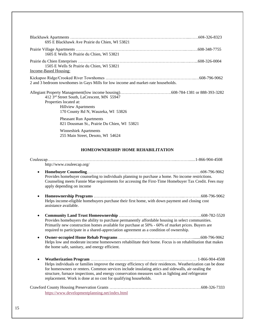| 695 E Blackhawk Ave Prairie du Chien, WI 53821                                                                                           |
|------------------------------------------------------------------------------------------------------------------------------------------|
| 1605 E Wells St Prairie du Chien, WI 53821                                                                                               |
| 1505 E Wells St Prairie du Chien, WI 53821<br>Income-Based Housing:                                                                      |
| 2 and 3 bedroom townhomes in Gays Mills for low income and market-rate households.                                                       |
| 412 3rd Street South, LaCrescent, MN 55947<br>Properties located at:<br><b>Hillview Apartments</b><br>170 County Rd N, Wauzeka, WI 53826 |
| <b>Pheasant Run Apartments</b><br>821 Dousman St., Prairie Du Chien, WI 53821                                                            |
| <b>Winneshiek Apartments</b><br>255 Main Street, Desoto, WI 54624                                                                        |

# **HOMEOWNERSHIP/ HOME REHABILITATION**

| http://www.couleecap.org/                                                                                                                                                                                                                                                                                                                                                                                |
|----------------------------------------------------------------------------------------------------------------------------------------------------------------------------------------------------------------------------------------------------------------------------------------------------------------------------------------------------------------------------------------------------------|
| $\bullet$<br>Provides homebuyer counseling to individuals planning to purchase a home. No income restrictions.<br>Counseling meets Fannie Mae requirements for accessing the First-Time Homebuyer Tax Credit. Fees may<br>apply depending on income                                                                                                                                                      |
| $\bullet$<br>Helps income-eligible homebuyers purchase their first home, with down payment and closing cost<br>assistance available.                                                                                                                                                                                                                                                                     |
| ٠<br>Provides homebuyers the ability to purchase permanently affordable housing in select communities.<br>Primarily new construction homes available for purchase at 50% - 60% of market prices. Buyers are<br>required to participate in a shared-appreciation agreement as a condition of ownership.                                                                                                   |
| ٠<br>Helps low and moderate income homeowners rehabilitate their home. Focus is on rehabilitation that makes<br>the home safe, sanitary, and energy efficient.                                                                                                                                                                                                                                           |
| $\bullet$<br>Helps individuals or families improve the energy efficiency of their residences. Weatherization can be done<br>for homeowners or renters. Common services include insulating attics and sidewalls, air-sealing the<br>structure, furnace inspections, and energy conservation measures such as lighting and refrigerator<br>replacement. Work is done at no cost for qualifying households. |
| https://www.developmentplanning.net/index.html                                                                                                                                                                                                                                                                                                                                                           |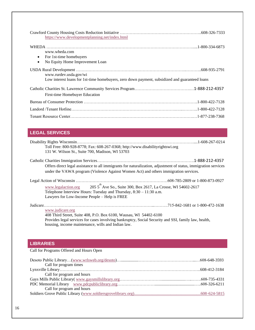| https://www.developmentplanning.net/index.html                                                 |  |
|------------------------------------------------------------------------------------------------|--|
|                                                                                                |  |
| www.wheda.com                                                                                  |  |
| For 1st-time homebuyers<br>$\bullet$                                                           |  |
| No Equity Home Improvement Loan<br>$\bullet$                                                   |  |
| www.rurdev.usda.gov/wi                                                                         |  |
| Low interest loans for 1st-time homebuyers, zero down payment, subsidized and guaranteed loans |  |
| First-time Homebuyer Education                                                                 |  |
|                                                                                                |  |
|                                                                                                |  |
|                                                                                                |  |

# <span id="page-16-0"></span>**LEGAL SERVICES**

| Toll Free: 800-928-8778; Fax: 608-267-0368; http://www.disabilityrightswi.org                                   |  |
|-----------------------------------------------------------------------------------------------------------------|--|
| 131 W. Wilson St., Suite 700, Madison, WI 53703                                                                 |  |
|                                                                                                                 |  |
| Offers direct legal assistance to all immigrants for naturalization, adjustment of status, immigration services |  |
| under the VAWA program (Violence Against Women Act) and others immigration services.                            |  |
|                                                                                                                 |  |
| www.legalaction.org $2055^{th}$ Ave So., Suite 300, Box 2617, La Crosse, WI 54602-2617                          |  |
| Telephone Interview Hours: Tuesday and Thursday, $8:30 - 11:30$ a.m.                                            |  |
| Lawyers for Low-Income People – Help is FREE                                                                    |  |
|                                                                                                                 |  |
| www.judicare.org                                                                                                |  |
| 408 Third Street, Suite 408, P.O. Box 6100, Wausau, WI 54402-6100                                               |  |
| Provides legal services for cases involving bankruptcy, Social Security and SSI, family law, health,            |  |

housing, income maintenance, wills and Indian law.

# **LIBRARIES**

# Call for Programs Offered and Hours Open

| Call for program times     |  |
|----------------------------|--|
|                            |  |
| Call for program and hours |  |
|                            |  |
|                            |  |
| Call for program and hours |  |
|                            |  |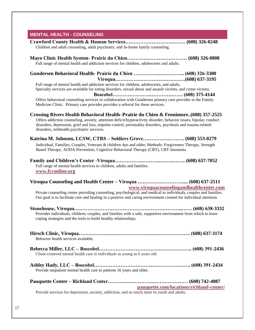# **MENTAL HEALTH - COUNSELING**

| Children and adult counseling, adult psychiatry, and In-home family counseling.                                                                                                                                                                                                                                                                                        |  |
|------------------------------------------------------------------------------------------------------------------------------------------------------------------------------------------------------------------------------------------------------------------------------------------------------------------------------------------------------------------------|--|
| Full range of mental health and addiction services for children, adolescents and adults.                                                                                                                                                                                                                                                                               |  |
|                                                                                                                                                                                                                                                                                                                                                                        |  |
| Full range of mental health and addiction services for children, adolescents, and adults.<br>Specialty services are available for eating disorders, sexual abuse and assault victims, and crime victims.                                                                                                                                                               |  |
| Offers behavioral counseling services in collaboration with Gundersen primary care provider in the Family<br>Medicine Clinic. Primary care provider provides a referral for these services.                                                                                                                                                                            |  |
| Crossing Rivers Health Behavioral Health–Prairie du Chien & Fennimore(608) 357-2525<br>Offers addiction counseling, anxiety, attention deficit/hyperactivity disorder, behavior issues, bipolar, conduct<br>disorders, depression, grief and loss, impulse control, personality disorders, psychosis and trauma-related<br>disorders, telehealth psychiatric services. |  |
|                                                                                                                                                                                                                                                                                                                                                                        |  |
| Individual, Families, Couples, Veterans & children 4yo and older; Methods: Forgiveness Therapy, Strength<br>Based Therapy, AODA Prevention, Cognitive Behavioral Therapy (CBT), CBT-Insomnia                                                                                                                                                                           |  |
| Full range of mental health services to children, adults and families.<br>www.fcconline.org                                                                                                                                                                                                                                                                            |  |
| Viroqua Counseling and Health Center - Viroqua  (608) 637-2511<br>www.viroquacounselingandhealthcenter.com                                                                                                                                                                                                                                                             |  |
| Private counseling center providing counseling, psychological, and medical to individuals, couples and families.<br>Our goal is to facilitate care and healing in a positive and caring environment created for individual attention.                                                                                                                                  |  |
| Provides individuals, children, couples, and families with a safe, supportive environment from which to learn<br>coping strategies and the tools to build healthy relationships.                                                                                                                                                                                       |  |
| Behavior health services available.                                                                                                                                                                                                                                                                                                                                    |  |
| Client-centered mental health care to individuals as young as 6 years old.                                                                                                                                                                                                                                                                                             |  |
| Provide outpatient mental health care to patients 16 years and older.                                                                                                                                                                                                                                                                                                  |  |
| pauquette.com/locations/richland-center/                                                                                                                                                                                                                                                                                                                               |  |
| Provide services for depression, anxiety, addiction, and so much more to youth and adults.                                                                                                                                                                                                                                                                             |  |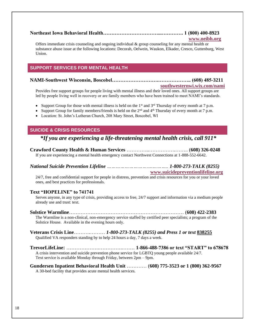# **Northeast Iowa Behavioral Health……………………………...…………. 1 (800) 400-8923**

## **[www.neibh.org](http://www.neibh.org/)**

Offers immediate crisis counseling and ongoing individual  $&$  group counseling for any mental health or substance abuse issue at the following locations: Decorah, Oelwein, Waukon, Elkader, Cresco, Guttenburg, West Union.

# **SUPPORT SERVICES FOR MENTAL HEALTH**

# **NAMI-Southwest Wisconsin, Boscobel……………………….……………….. (608) 485-3211**

### **[southwesternwi.wix.com/nami](file://///ccty-server-01/Public_Health_Shared$/Resource%20Directory/southwesternwi.wix.com/nami)**

Provides free support groups for people living with mental illness and their loved ones. All support groups are led by people living well in recovery or are family members who have been trained to meet NAMI's standards.

- Support Group for those with mental illness is held on the  $1<sup>st</sup>$  and  $3<sup>rd</sup>$  Thursday of every month at 7 p.m.
- Support Group for family members/friends is held on the  $2<sup>nd</sup>$  and  $4<sup>th</sup>$  Thursday of every month at 7 p.m.
- Location: St. John's Lutheran Church, 208 Mary Street, Boscobel, WI

# **SUICIDE & CRISIS RESOURCES**

# *\*If you are experiencing a life-threatening mental health crisis, call 911\**

**Crawford County Health & Human Services** …………..…………….…….. (**608) 326-0248** If you are experiencing a mental health emergency contact Northwest Connections at 1-888-552-6642.

# *National Suicide Prevention Lifeline ………………………….……….. 1-800-273-TALK (8255)*

**[www.suicidepreventionlifeline.org](http://www.suicidepreventionlifeline.org/)**

24/7, free and confidential support for people in distress, prevention and crisis resources for you or your loved ones, and best practices for professionals.

# **Text "HOPELINE" to 741741**

Serves anyone, in any type of crisis, providing access to free, 24/7 support and information via a medium people already use and trust: text.

**Solstice Warmline**…………………………………………………………… (**608) 422-2383** The Warmline is a non-clinical, non-emergency service staffed by certified peer specialists; a program of the Solstice House. Available in the evening hours only.

# **Veterans Crisis Line**……….……… *1-800-273-TALK (8255) and Press 1 or text* **[838255](sms:838255)** Qualified VA responders standing by to help 24 hours a day, 7 days a week.

**TrevorLifeLine:** ………………..…….……..……. **1-866-488-7386 or text "START" to 678678** A crisis intervention and suicide prevention phone service for LGBTQ young people available 24/7. Text service is available Monday through Friday, between 2pm – 9pm.

**Gundersen Inpatient Behavioral Health Unit** ………… (**608) 775-3523 or 1 (800) 362-9567** A 30-bed facility that provides acute mental health services.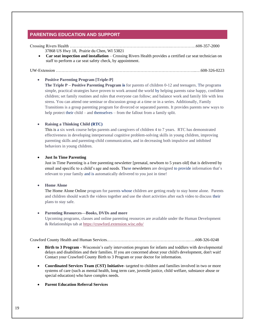# <span id="page-19-0"></span>**PARENTING EDUCATION AND SUPPORT**

Crossing Rivers Health ……………………………………………………………….………………608-357-2000 37868 US Hwy 18, Prairie du Chen, WI 53821

• **Car seat inspection and installation** – Crossing Rivers Health provides a certified car seat technician on staff to perform a car seat safety check, by appointment.

UW-Extension ………………………………………………………………………………………...…608-326-0223

### • **Positive Parenting Program [Triple-P]**

**The Triple P – Positive Parenting Program is** for parents of children 0-12 and teenagers. The programs simple, practical strategies have proven to work around the world by helping parents raise happy, confident children; set family routines and rules that everyone can follow; and balance work and family life with less stress. You can attend one seminar or discussion group at a time or in a series. Additionally, Family Transitions is a group parenting program for divorced or separated parents. It provides parents new ways to help protect their child – and themselves – from the fallout from a family split.

### • **Raising a Thinking Child (RTC)**

This is a six week course helps parents and caregivers of children 4 to 7 years. RTC has demonstrated effectiveness in developing interpersonal cognitive problem-solving skills in young children, improving parenting skills and parenting-child communication, and in decreasing both impulsive and inhibited behaviors in young children.

### • **Just In Time Parenting**

Just in Time Parenting is a free parenting newsletter [prenatal, newborn to 5 years old] that is delivered by email and specific to a child's age and needs. These newsletters are designed to provide information that's relevant to your family and is automatically delivered to you just in time!

### • **Home Alone**

The Home Alone Online program for parents whose children are getting ready to stay home alone. Parents and children should watch the videos together and use the short activities after each video to discuss their plans to stay safe.

### • **Parenting Resources—Books, DVDs and more**

Upcoming programs, classes and online parenting resources are available under the Human Development & Relationships tab a[t https://crawford.extension.wisc.edu/](https://crawford.extension.wisc.edu/)

Crawford County Health and Human Services.…………………………………………………..…..608-326-0248

- **Birth to 3 Program** Wisconsin's early intervention program for infants and toddlers with developmental delays and disabilities and their families. If you are concerned about your child's development, don't wait! Contact your Crawford County Birth to 3 Program or your doctor for information.
- **Coordinated Services Team (CST) Initiative-** targeted to children and families involved in two or more systems of care (such as mental health, long term care, juvenile justice, child welfare, substance abuse or special education) who have complex needs.
- **Parent Education Referral Services**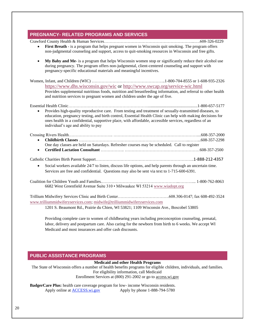# <span id="page-20-0"></span>**PREGNANCY- RELATED PROGRAMS AND SERVICES**

Crawford County Health & Human Services………………………………………………………...….608-326-0229

- **First Breath** is a program that helps pregnant women in Wisconsin quit smoking. The program offers non-judgmental counseling and support, access to quit-smoking resources in Wisconsin and free gifts.
- **My Baby and Me** is a program that helps Wisconsin women stop or significantly reduce their alcohol use during pregnancy. The program offers non-judgmental, client-centered counseling and support with pregnancy-specific educational materials and meaningful incentives.
- Women, Infant, and Children (WIC) ……………………………………………..1-800-704-8555 or 1-608-935-2326 <https://www.dhs.wisconsin.gov/wic> or<http://www.swcap.org/service-wic.html> Provides supplemental nutritious foods, nutrition and breastfeeding information, and referral to other health and nutrition services to pregnant women and children under the age of five.

Essential Health Clinic…………………………………………………................................................1-800-657-5177 • Provides high-quality reproductive care. From testing and treatment of sexually-transmitted diseases, to education, pregnancy testing, and birth control, Essential Health Clinic can help with making decisions for ones health in a confidential, supportive place, with affordable, accessible services, regardless of an

- Crossing Rivers Health………………………….. ……………………………………………………....608-357-2000 • **Childbirth Classes** ……………………………………………………………………..……...608-357-2298 One day classes are held on Saturdays. Refresher courses may be scheduled. Call to register
	- **Certified Lactation Consultant** …………….. ………………………………………………608-357-2500

### Catholic Charities Birth Parent Support……………………………………………………………..1-888-212-4357

- Social workers available 24/7 to listen, discuss life options, and help parents through an uncertain time. Services are free and confidential. Questions may also be sent via text to 1-715-600-6391.
- Coalition for Children Youth and Families.………………………………………………..……….... 1-800-762-8063 6682 West Greenfield Avenue Suite 310 • Milwaukee WI 53214 [www.wiadopt.org](http://www.wiadopt.org/)

Trillium Midwifery Services Clinic and Birth Center……………………………….608.306-0147; fax 608-492-3524 [www.trilliummidwiferyservices.com;](http://www.trilliummidwiferyservices.com/) [midwife@trilliummidwiferyservices.com](mailto:midwife@trilliummidwiferyservices.com)

1201 S. Beaumont Rd., Prairie du Chien, WI 53821; 1109 Wisconsin Ave., Boscobel 53805

Providing complete care to women of childbearing years including preconception counseling, prenatal, labor, delivery and postpartum care. Also caring for the newborn from birth to 6 weeks. We accept WI Medicaid and most insurances and offer cash discounts.

# <span id="page-20-1"></span>**PUBLIC ASSISTANCE PROGRAMS**

individual's age and ability to pay

### **Medicaid and other Health Programs**

The State of Wisconsin offers a number of health benefits programs for eligible children, individuals, and families. For eligibility information, call Medicaid Enrollment Services at (800) 291-2002 or go to access.wi.gov

**BadgerCare Plus:** health care coverage program for low- income Wisconsin residents. Apply online at ACCESS.wi.gov Apply by phone 1-888-794-5780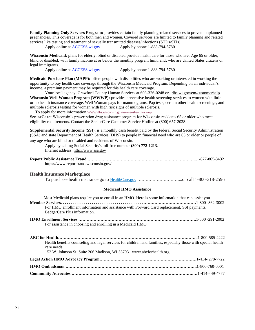**Family Planning Only Services Program:** provides certain family planning-related services to prevent unplanned pregnancies. This coverage is for both men and women. Covered services are limited to family planning and related services like testing and treatment of sexually transmitted diseases/infections (STDs/STIs).

Apply online at ACCESS, wi.gov Apply by phone 1-888-794-5780

**[Wisconsin Medicaid](https://www.dhs.wisconsin.gov/medicaid/index.htm)**: plans for elderly, blind or disabled provide health care for those who are: Age 65 or older, blind or disabled; with family income at or below the monthly program limit, and; who are United States citizens or legal immigrants.

Apply online at ACCESS.wi.gov Apply by phone 1-888-794-5780

**Medicaid Purchase Plan (MAPP):** offers people with disabilities who are working or interested in working the opportunity to buy health care coverage through the Wisconsin Medicaid Program. Depending on an individual's income, a premium payment may be required for this health care coverage.

Your local agency: Crawford County Human Services at 608-326-0248 or [dhs.wi.gov/em/customerhelp](https://www.dhs.wisconsin.gov/forwardhealth/customerhelp/index.htm) **Wisconsin Well Woman Program (WWWP):** provides preventive health screening services to women with little or no health insurance coverage. Well Woman pays for mammograms, Pap tests, certain other health screenings, and multiple sclerosis testing for women with high risk signs of multiple sclerosis.

To apply for more information [www.](http://www.dhs.wisconsin.gov/womenshealth/wwwp)[dhs.wisconsin.gov/womenshealth/wwwp](http://www.dhs.wisconsin.gov/womenshealth/wwwp)

**SeniorCare:** Wisconsin's prescription drug assistance program for Wisconsin residents 65 or older who meet eligibility requirements. Contact the SeniorCare Customer Service Hotline at (800) 657-2038.

**Supplemental Security Income (SSI)**: is a monthly cash benefit paid by the federal [Social Security Administration](http://www.ssa.gov/)  [\(SSA\)](http://www.ssa.gov/) and state Department of Health Services (DHS) to people in financial need who are 65 or older or people of any age who are blind or disabled and residents of Wisconsin.

Apply by calling Social Security's toll-free number **(800) 772-1213**. Internet address: [http://www.ssa.gov](http://www.ssa.gov/)

| https://www.reportfraud.wisconsin.gov/. |  |
|-----------------------------------------|--|

### **Health Insurance Marketplace**

To purchase health insurance go to HealthCare.gov …………………………...or call 1-800-318-2596

### **Medicaid HMO Assistance**

| Most Medicaid plans require you to enroll in an HMO. Here is some information that can assist you.                           |
|------------------------------------------------------------------------------------------------------------------------------|
| For HMO enrollment information and assistance with Forward Card replacement, SSI payments,<br>BadgerCare Plus information.   |
|                                                                                                                              |
| For assistance in choosing and enrolling in a Medicaid HMO                                                                   |
|                                                                                                                              |
| Health benefits counseling and legal services for children and families, especially those with special health<br>care needs. |
| 152 W. Johnson St. Suite 206 Madison, WI 53703 www.abcforhealth.org                                                          |
|                                                                                                                              |
|                                                                                                                              |
|                                                                                                                              |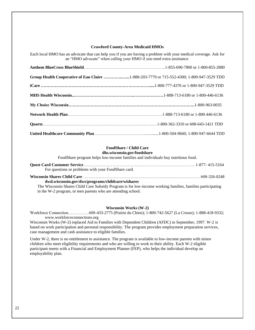### **Crawford County-Area Medicaid HMOs**

Each local HMO has an advocate that can help you if you are having a problem with your medical coverage. Ask for an "HMO advocate" when calling your HMO if you need extra assistance.

| Group Health Cooperative of Eau Claire 1-888-203-7770 or 715-552-4300; 1-800-947-3529 TDD |  |
|-------------------------------------------------------------------------------------------|--|
|                                                                                           |  |
|                                                                                           |  |
|                                                                                           |  |
|                                                                                           |  |
|                                                                                           |  |
|                                                                                           |  |

#### **FoodShare / Child Care dhs.wisconsin.gov/foodshare**

FoodShare program helps low-income families and individuals buy nutritious food.

| For questions or problems with your FoodShare card.                                                      |  |
|----------------------------------------------------------------------------------------------------------|--|
|                                                                                                          |  |
| dwd.wisconsin.gov/dws/programs/childcare/wishares                                                        |  |
| The Wisconsin Chance Child Cano Cubaidy Duoguam is for law income weaking familias familias neutrinoting |  |

The Wisconsin Shares Child Care Subsidy Program is for low-income working families, families participating in the W-2 program, or teen parents who are attending school.

#### **Wisconsin Works (W-2)**

Workforce Connection……………608-433-2775 (Prairie du Chien); 1-800-742-5627 (La Crosse); 1-888-418-9332; www.workforceconnections.org

Wisconsin Works (W-2) replaced Aid to Families with Dependent Children (AFDC) in September, 1997. W-2 is based on work participation and personal responsibility. The program provides employment preparation services, case management and cash assistance to eligible families.

Under W-2, there is no entitlement to assistance. The program is available to low-income parents with minor children who meet eligibility requirements and who are willing to work to their ability. Each W-2 eligible participant meets with a Financial and Employment Planner (FEP), who helps the individual develop an employability plan.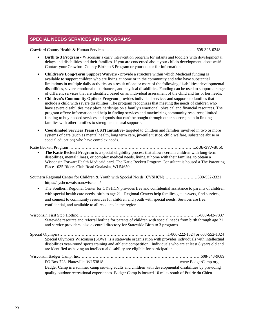# **SPECIAL NEEDS SERVICES AND PROGRAMS**

Crawford County Health & Human Services …………………………………………………………608-326-0248

- **Birth to 3 Program** Wisconsin's early intervention program for infants and toddlers with developmental delays and disabilities and their families. If you are concerned about your child's development, don't wait! Contact your Crawford County Birth to 3 Program or your doctor for information.
- **Children's Long-Term Support Waivers** provide a structure within which Medicaid funding is available to support children who are living at home or in the community and who have substantial limitations in multiple daily activities as a result of one or more of the following disabilities: developmental disabilities, severe emotional disturbances, and physical disabilities. Funding can be used to support a range of different services that are identified based on an individual assessment of the child and his or her needs.
- **Children's Community Options Program** provides individual services and supports to families that include a child with severe disabilities. The program recognizes that meeting the needs of children who have severe disabilities may place hardships on a family's emotional, physical and financial resources. The program offers: information and help in finding services and maximizing community resources; limited funding to buy needed services and goods that can't be bought through other sources; help in linking families with other families to strengthen natural supports.
- **Coordinated Services Team (CST) Initiative-** targeted to children and families involved in two or more systems of care (such as mental health, long term care, juvenile justice, child welfare, substance abuse or special education) who have complex needs.

#### Katie Beckett Program ………………………………………………………………………………..608-397-8850

• **The Katie Beckett Program** is a special eligibility process that allows certain children with long-term disabilities, mental illness, or complex medical needs, living at home with their families, to obtain a Wisconsi[n ForwardHealth Medicaid](https://www.dhs.wisconsin.gov/medicaid/index.htm) card. The Katie Beckett Program Consultant is housed a The Parenting Place 1035 Riders Club Road Onalaska, WI 54650

Southern Regional Center for Children & Youth with Special Needs (CYSHCN)……………………800-532-3321 https://cyshcn.waisman.wisc.edu/

• The Southern Regional Center for CYSHCN provides free and confidential assistance to parents of children with special health care needs, birth to age 21. Regional Centers help families get answers, find services, and connect to community resources for children and youth with special needs. Services are free, confidential, and available to all residents in the region.

Wisconsin First Step Hotline…………………………………………………………………………. 1-800-642-7837 Statewide resource and referral hotline for parents of children with special needs from birth through age 21 and service providers; also a central directory for Statewide Birth to 3 programs.

Special Olympics…………………………………………………..………………..1-800-222-1324 or 608-552-1324 Special Olympics Wisconsin (SOWI) is a statewide organization with provides individuals with intellectual disabilities year-round sports training and athletic competition. Individuals who are at least 8 years old and are identified as having an intellectual disability are eligible for participation.

Wisconsin Badger Camp, Inc…………………….………………………………………………………608-348-9689 PO Box 723, Platteville, WI 53818 [www.BadgerCamp.org](http://www.badgercamp.org/) Badger Camp is a summer camp serving adults and children with developmental disabilities by providing quality outdoor recreational experiences. Badger Camp is located 10 miles south of Prairie du Chien.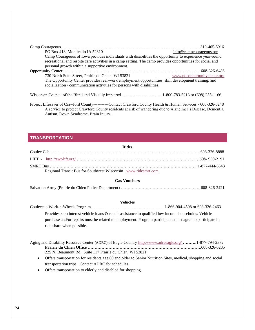| PO Box 418, Monticello IA 52310                                                                            | info@campcourageous.org      |
|------------------------------------------------------------------------------------------------------------|------------------------------|
| Camp Courageous of Iowa provides individuals with disabilities the opportunity to experience year-round    |                              |
| recreational and respite care activities in a camp setting. The camp provides opportunities for social and |                              |
| personal growth within a supportive environment.                                                           |                              |
|                                                                                                            |                              |
| 730 North State Street, Prairie du Chien, WI 53821                                                         | www.pdcopportunitycenter.org |
| The Opportunity Center provides real-work employment opportunities, skill development training, and        |                              |
| socialization / communication activities for persons with disabilities.                                    |                              |
|                                                                                                            |                              |
|                                                                                                            |                              |

Project Lifesaver of Crawford County-----------Contact Crawford County Health & Human Services - 608-326-0248 A service to protect Crawford County residents at risk of wandering due to Alzheimer's Disease, Dementia, Autism, Down Syndrome, Brain Injury.

# <span id="page-24-0"></span>**TRANSPORTATION**

| <b>Rides</b>                                                                                                                                                                                                                                  |  |  |
|-----------------------------------------------------------------------------------------------------------------------------------------------------------------------------------------------------------------------------------------------|--|--|
|                                                                                                                                                                                                                                               |  |  |
|                                                                                                                                                                                                                                               |  |  |
| Regional Transit Bus for Southwest Wisconsin www.ridesmrt.com                                                                                                                                                                                 |  |  |
| <b>Gas Vouchers</b>                                                                                                                                                                                                                           |  |  |
|                                                                                                                                                                                                                                               |  |  |
| <b>Vehicles</b>                                                                                                                                                                                                                               |  |  |
| Provides zero interest vehicle loans & repair assistance to qualified low income households. Vehicle<br>purchase and/or repairs must be related to employment. Program participants must agree to participate in<br>ride share when possible. |  |  |
| Aging and Disability Resource Center (ADRC) of Eagle Country http://www.adrceagle.org/1-877-794-2372<br>225 N. Beaumont Rd. Suite 117 Prairie du Chien, WI 53821;                                                                             |  |  |
| Offers transportation for residents age 60 and older to Senior Nutrition Sites, medical, shopping and social<br>٠                                                                                                                             |  |  |
| transportation trips. Contact ADRC for schedules.                                                                                                                                                                                             |  |  |

• Offers transportation to elderly and disabled for shopping.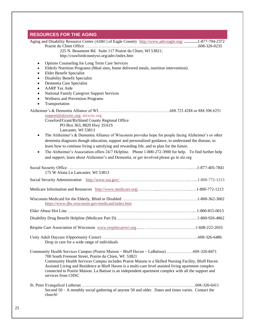# <span id="page-25-0"></span>**RESOURCES FOR THE AGING** Aging and Disability Resource Center (ADRC) of Eagle Country<http://www.adrceagle.org/> **……….**1**-**877-794-2372 Prairie du Chien Office ……………………………………………………………………….608-326-0235 225 N. Beaumont Rd. Suite 117 Prairie du Chien, WI 53821; <http://crawfordcountywi.org/adrc/index.htm> • Options Counseling for Long Term Care Services • Elderly Nutrition Programs (Meal sites, home delivered meals, nutrition intervention) • Elder Benefit Specialist • Disability Benefit Specialist • Dementia Care Specialist • AARP Tax Aide • National Family Caregiver Support Services • Wellness and Prevention Programs **Transportation** Alzheimer's & Dementia Alliance of WI…………………………………………….608.723.4288 or 888.308.6251 [support@alzwisc.org;](mailto:support@alzwisc.org) alzwisc.org Crawford/Grant/Richland County Regional Office PO Box 363, 8820 Hwy 35/61S Lancaster, WI 53813 • The Alzheimer's & Dementia Alliance of Wisconsin provides hope for people facing Alzheimer's or other dementia diagnosis though education, support and personalized guidance, to understand the disease, to learn how to continue living a satisfying and rewarding life, and to plan for the future. • The Alzheimer's Association offers 24/7 Helpline. Phone 1-800-272-3900 for help. To find further help and support, learn about Alzheimer's and Dementia, or get involved please go to alz.org Social Security Office ……………………………………………………………………………...….1-877-405-7841 175 W Alona Ln Lancaster, WI 53813 Social Security Administration <http://www.ssa.gov/> …………………………………………...…...1-800-772-1213 Medicare Information and Resources [http://www.medicare.org/…](http://www.medicare.org/)………....…………………...….1-800-772-1213 Wisconsin Medicaid for the Elderly, Blind or Disabled ………………………………………………1-800-362-3002 <https://www.dhs.wisconsin.gov/medicaid/index.htm> Elder Abuse Hot Line ………………………………………………………………………………... 1-800-815-0015 Disability Drug Benefit Helpline (Medicare Part D)………………………………………………..…1-800-926-4862 Respite Care Association of Wisconsin [www.respitecarewi.org.](http://www.respitecarewi.org/)....... ………………………………1-608-222-2033 Unity Adult Daycare (Opportunity Center) ……………………………………………………………608-326-6486 Drop in care for a wide range of individuals Community Health Services Campus (Prairie Maison ~ Bluff Haven ~ LaBatisse) ……………….608-326-8471 700 South Fremont Street, Prairie du Chien, WI 53821 Community Health Services Campus includes Prairie Maison is a Skilled Nursing Facility, Bluff Haven Assisted Living and Residence at Bluff Haven is a multi-care level assisted living apartment complex connected to Prairie Maison. La Batisse is an independent apartment complex with all the support and services from CHSC St. Peter Evangelical Lutheran ………………………………………………………………….……608-326-6411 Second 50 – A monthly social gathering of anyone 50 and older. Dates and times varies. Contact the church!